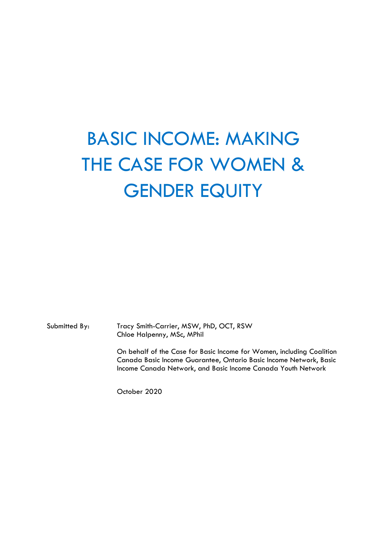# BASIC INCOME: MAKING THE CASE FOR WOMEN & GENDER EQUITY

Submitted By: Tracy Smith-Carrier, MSW, PhD, OCT, RSW Chloe Halpenny, MSc, MPhil

> On behalf of the Case for Basic Income for Women, including Coalition Canada Basic Income Guarantee, Ontario Basic Income Network, Basic Income Canada Network, and Basic Income Canada Youth Network

October 2020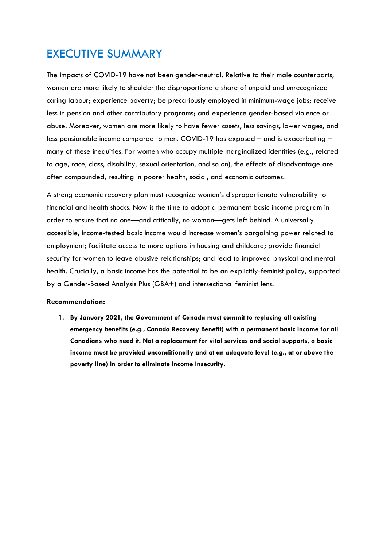# EXECUTIVE SUMMARY

The impacts of COVID-19 have not been gender-neutral. Relative to their male counterparts, women are more likely to shoulder the disproportionate share of unpaid and unrecognized caring labour; experience poverty; be precariously employed in minimum-wage jobs; receive less in pension and other contributory programs; and experience gender-based violence or abuse. Moreover, women are more likely to have fewer assets, less savings, lower wages, and less pensionable income compared to men. COVID-19 has exposed – and is exacerbating – many of these inequities. For women who occupy multiple marginalized identities (e.g., related to age, race, class, disability, sexual orientation, and so on), the effects of disadvantage are often compounded, resulting in poorer health, social, and economic outcomes.

A strong economic recovery plan must recognize women's disproportionate vulnerability to financial and health shocks. Now is the time to adopt a permanent basic income program in order to ensure that no one—and critically, no woman—gets left behind. A universally accessible, income-tested basic income would increase women's bargaining power related to employment; facilitate access to more options in housing and childcare; provide financial security for women to leave abusive relationships; and lead to improved physical and mental health. Crucially, a basic income has the potential to be an explicitly-feminist policy, supported by a Gender-Based Analysis Plus (GBA+) and intersectional feminist lens.

#### **Recommendation:**

**1. By January 2021, the Government of Canada must commit to replacing all existing emergency benefits (e.g., Canada Recovery Benefit) with a permanent basic income for all Canadians who need it. Not a replacement for vital services and social supports, a basic income must be provided unconditionally and at an adequate level (e.g., at or above the poverty line) in order to eliminate income insecurity.**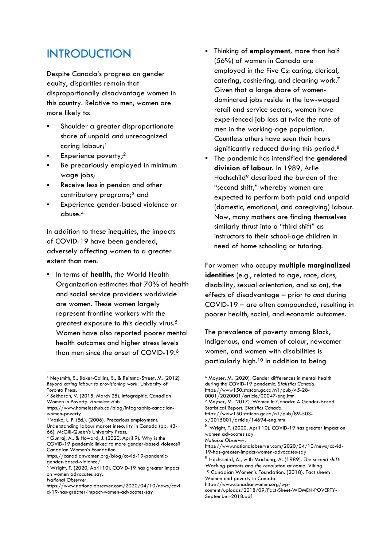## INTRODUCTION

Despite Canada's progress on gender equity, disparities remain that disproportionally disadvantage women in this country. Relative to men, women are more likely to:

- Shoulder a greater disproportionate share of unpaid and unrecognized caring labour; 1
- **Experience poverty;**<sup>2</sup>
- Be precariously employed in minimum wage jobs;
- Receive less in pension and other contributory programs; <sup>3</sup> and
- Experience gender-based violence or abuse. 4

In addition to these inequities, the impacts of COVID-19 have been gendered, adversely affecting women to a greater extent than men:

▪ In terms of **health,** the World Health Organization estimates that 70% of health and social service providers worldwide are women. These women largely represent frontline workers with the greatest exposure to this deadly virus.<sup>5</sup> Women have also reported poorer mental health outcomes and higher stress levels than men since the onset of COVID-19.<sup>6</sup>

- <sup>3</sup> Vosko, L. F. (Ed.). (2006). Precarious employment: Understanding labour market insecurity in Canada (pp. 43-
- 66). McGill-Queen's University Press.

<sup>4</sup> Gunraj, A., & Howard, J. (2020, April 9). Why is the COVID-19 pandemic linked to more gender-based violence? Canadian Women's Foundation.

https://canadianwomen.org/blog/covid-19-pandemicgender-based-violence/

- Thinking of **employment**, more than half (56%) of women in Canada are employed in the Five Cs: caring, clerical, catering, cashiering, and cleaning work.<sup>7</sup> Given that a large share of womendominated jobs reside in the low-waged retail and service sectors, women have experienced job loss at twice the rate of men in the working-age population. Countless others have seen their hours significantly reduced during this period.<sup>8</sup>
- The pandemic has intensified the **gendered division of labour.** In 1989, Arlie Hochschild<sup>9</sup> described the burden of the "second shift," whereby women are expected to perform both paid and unpaid (domestic, emotional, and caregiving) labour. Now, many mothers are finding themselves similarly thrust into a "third shift" as instructors to their school-age children in need of home schooling or tutoring.

For women who occupy **multiple marginalized identities** (e.g., related to age, race, class, disability, sexual orientation, and so on), the effects of disadvantage – prior to *and* during COVID-19 – are often compounded, resulting in poorer health, social, and economic outcomes.

The prevalence of poverty among Black, Indigenous, and women of colour, newcomer women, and women with disabilities is particularly high.<sup>10</sup> In addition to being

<sup>&</sup>lt;sup>1</sup> Neysmith, S., Baker-Collins, S., & Reitsma-Street, M. (2012). *Beyond caring labour to provisioning work*. University of Toronto Press.

<sup>2</sup> Sekharan, V. (2015, March 25). Infographic: Canadian Women in Poverty. *Homeless Hub.*

https://www.homelesshub.ca/blog/infographic-canadianwomen-poverty

 $5$  Wright, T. (2020, April 10). COVID-19 has greater impact on women advocates say. *National Observer.* 

https://www.nationalobserver.com/2020/04/10/news/covi d-19-has-greater-impact-women-advocates-say

<sup>6</sup> Moyser, M. (2020). Gender differences in mental health during the COVID-19 pandemic. *Statistics Canada.*  https://www150.statcan.gc.ca/n1/pub/45-28- 0001/2020001/article/00047-eng.htm <sup>7</sup> Moyser, M. (2017). Women in Canada: A Gender-based Statistical Report. *Statistics Canada.*  https://www150.statcan.gc.ca/n1/pub/89-503 x/2015001/article/14694-eng.htm  $^8$  Wright, T. (2020, April 10). COVID-19 has greater impact on women advocates say. *National Observer.*  https://www.nationalobserver.com/2020/04/10/news/covid-19-has-greater-impact-women-advocates-say <sup>9</sup> Hochschild, A., with Machung, A. (1989). *The second shift: Working parents and the revolution at home*. Viking. <sup>10</sup> Canadian Women's Foundation. (2018). Fact sheet: Women and poverty in Canada. https://www.canadianwomen.org/wp-

content/uploads/2018/09/Fact-Sheet-WOMEN-POVERTY-September-2018.pdf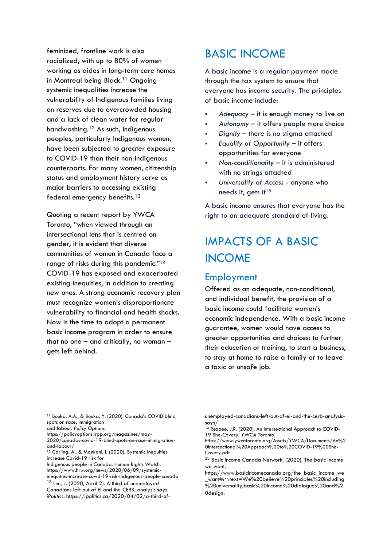feminized, frontline work is also racialized, with up to 80% of women working as aides in long-term care homes in Montreal being Black. <sup>11</sup> Ongoing systemic inequalities increase the vulnerability of Indigenous families living on reserves due to overcrowded housing and a lack of clean water for regular handwashing.<sup>12</sup> As such, Indigenous peoples, particularly Indigenous women, have been subjected to greater exposure to COVID-19 than their non-Indigenous counterparts. For many women, citizenship status and employment history serve as major barriers to accessing existing federal emergency benefits.<sup>13</sup>

Quoting a recent report by YWCA Toronto, "when viewed through an intersectional lens that is centred on gender, it is evident that diverse communities of women in Canada face a range of risks during this pandemic."<sup>14</sup> COVID-19 has exposed and exacerbated existing inequities, in addition to creating new ones. A strong economic recovery plan must recognize women's disproportionate vulnerability to financial and health shocks. Now is the time to adopt a permanent basic income program in order to ensure that no one – and critically, no woman – gets left behind.

# BASIC INCOME

A basic income is a regular payment made through the tax system to ensure that everyone has income security. The principles of basic income include:

- Adequacy it is enough money to live on
- Autonomy it offers people more choice
- Dignity there is no stigma attached
- *Equality of Opportunity* it offers opportunities for everyone
- *Non-conditionality* it is administered with no strings attached
- Universality of Access anyone who needs it, gets it<sup>15</sup>

A basic income ensures that everyone has the right to an adequate standard of living.

# IMPACTS OF A BASIC INCOME

#### Employment

Offered as an adequate, non-conditional, and individual benefit, the provision of a basic income could facilitate women's economic independence. With a basic income guarantee, women would have access to greater opportunities and choices: to further their education or training, to start a business, to stay at home to raise a family or to leave a toxic or unsafe job.

https://policyoptions.irpp.org/magazines/may-2020/canadas-covid-19-blind-spots-on-race-immigrationand-labour/

Indigenous people in Canada. Human Rights Watch. https://www.hrw.org/news/2020/06/09/systemic-

<sup>11</sup> Bouka, A.A., & Bouka, Y. (2020). Canada's COVID blind spots on race, immigration

and labour. *Policy Options.* 

<sup>12</sup> Carling, A., & Mankani, I. (2020). Systemic inequities increase Covid-19 risk for

inequities-increase-covid-19-risk-indigenous-people-canada <sup>13</sup> Lim, J. (2020, April 2). A third of unemployed

Canadians left out of EI and the CERB, analysis says.

*iPolitics.* https://ipolitics.ca/2020/04/02/a-third-of-

unemployed-canadians-left-out-of-ei-and-the-cerb-analysissays/

<sup>&</sup>lt;sup>14</sup> Rezaee, J.R. (2020). An Intersectional Approach to COVID-19 She-Covery. *YWCA Toronto.* 

https://www.ywcatoronto.org/Assets/YWCA/Documents/An%2 0Intersectional%20Approach%20to%20COVID-19%20She-Covery.pdf

<sup>15</sup> Basic Income Canada Network. (2020). The basic income we want.

https://www.basicincomecanada.org/the\_basic\_income\_we \_want#:~:text=We%20believe%20principles%20including %20universality,basic%20income%20dialogue%20and%2 0design.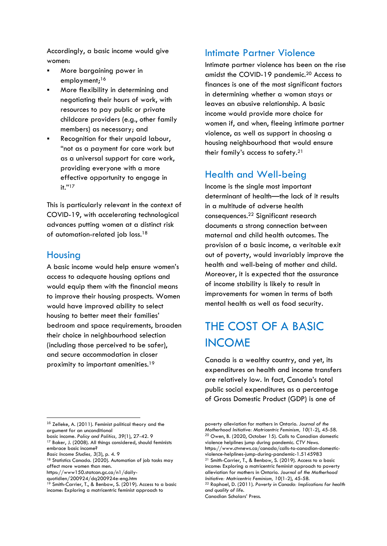Accordingly, a basic income would give women:

- More bargaining power in employment;<sup>16</sup>
- More flexibility in determining and negotiating their hours of work, with resources to pay public or private childcare providers (e.g., other family members) as necessary; and
- Recognition for their unpaid labour, "not as a payment for care work but as a universal support for care work, providing everyone with a more effective opportunity to engage in it."<sup>17</sup>

This is particularly relevant in the context of COVID-19, with accelerating technological advances putting women at a distinct risk of automation-related job loss.<sup>18</sup>

#### Housing

A basic income would help ensure women's access to adequate housing options and would equip them with the financial means to improve their housing prospects. Women would have improved ability to select housing to better meet their families' bedroom and space requirements, broaden their choice in neighbourhood selection (including those perceived to be safer), and secure accommodation in closer proximity to important amenities.<sup>19</sup>

<sup>17</sup> Baker, J. (2008). All things considered, should feminists embrace basic income?

*Basic Income Studies, 3*(3), p. 4. 9

#### Intimate Partner Violence

Intimate partner violence has been on the rise amidst the COVID-19 pandemic.<sup>20</sup> Access to finances is one of the most significant factors in determining whether a woman stays or leaves an abusive relationship. A basic income would provide more choice for women if, and when, fleeing intimate partner violence, as well as support in choosing a housing neighbourhood that would ensure their family's access to safety.<sup>21</sup>

#### Health and Well-being

Income is the single most important determinant of health—the lack of it results in a multitude of adverse health consequences.<sup>22</sup> Significant research documents a strong connection between maternal and child health outcomes. The provision of a basic income, a veritable exit out of poverty, would invariably improve the health and well-being of mother and child. Moreover, it is expected that the assurance of income stability is likely to result in improvements for women in terms of both mental health as well as food security.

# THE COST OF A BASIC INCOME

Canada is a wealthy country, and yet, its expenditures on health and income transfers are relatively low. In fact, Canada's total public social expenditures as a percentage of Gross Domestic Product (GDP) is one of

<sup>16</sup> Zelleke, A. (2011). Feminist political theory and the argument for an unconditional

basic income. *Policy and Politics, 39*(1), 27-42. 9

<sup>&</sup>lt;sup>18</sup> Statistics Canada. (2020). Automation of job tasks may affect more women than men.

https://www150.statcan.gc.ca/n1/daily-

quotidien/200924/dq200924e-eng.htm

<sup>&</sup>lt;sup>19</sup> Smith-Carrier, T., & Benbow, S. (2019). Access to a basic income: Exploring a matricentric feminist approach to

poverty alleviation for mothers in Ontario. *Journal of the Motherhood Initiative: Matricentric Feminism, 10*(1-2), 45-58.  $^{20}$  Owen, B. (2020, October 15). Calls to Canadian domestic violence helplines jump during pandemic. *CTV News.*  https://www.ctvnews.ca/canada/calls-to-canadian-domesticviolence-helplines-jump-during-pandemic-1.5145983 <sup>21</sup> Smith-Carrier, T., & Benbow, S. (2019). Access to a basic income: Exploring a matricentric feminist approach to poverty alleviation for mothers in Ontario. *Journal of the Motherhood Initiative: Matricentric Feminism, 10*(1-2), 45-58. <sup>22</sup> Raphael, D. (2011). *Poverty in Canada: Implications for health and quality of life.* 

Canadian Scholars' Press.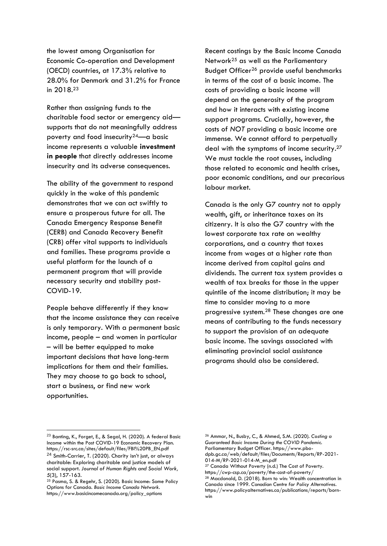the lowest among Organisation for Economic Co-operation and Development (OECD) countries, at 17.3% relative to 28.0% for Denmark and 31.2% for France in 2018. 23

Rather than assigning funds to the charitable food sector or emergency aid supports that do not meaningfully address poverty and food insecurity<sup>24</sup>—a basic income represents a valuable **investment in people** that directly addresses income insecurity and its adverse consequences.

The ability of the government to respond quickly in the wake of this pandemic demonstrates that we can act swiftly to ensure a prosperous future for all. The Canada Emergency Response Benefit (CERB) and Canada Recovery Benefit (CRB) offer vital supports to individuals and families. These programs provide a useful platform for the launch of a permanent program that will provide necessary security and stability post-COVID-19.

People behave differently if they know that the income assistance they can receive is only temporary. With a permanent basic income, people – and women in particular – will be better equipped to make important decisions that have long-term implications for them and their families. They may choose to go back to school, start a business, or find new work opportunities.

Recent costings by the Basic Income Canada Network<sup>25</sup> as well as the Parliamentary Budget Officer<sup>26</sup> provide useful benchmarks in terms of the cost of a basic income. The costs of providing a basic income will depend on the generosity of the program and how it interacts with existing income support programs. Crucially, however, the costs of *NOT* providing a basic income are immense. We cannot afford to perpetually deal with the symptoms of income security.<sup>27</sup> We must tackle the root causes, including those related to economic and health crises, poor economic conditions, and our precarious labour market.

Canada is the only G7 country not to apply wealth, gift, or inheritance taxes on its citizenry. It is also the G7 country with the lowest corporate tax rate on wealthy corporations, and a country that taxes income from wages at a higher rate than income derived from capital gains and dividends. The current tax system provides a wealth of tax breaks for those in the upper quintile of the income distribution; it may be time to consider moving to a more progressive system.<sup>28</sup> These changes are one means of contributing to the funds necessary to support the provision of an adequate basic income. The savings associated with eliminating provincial social assistance programs should also be considered.

<sup>23</sup> Banting, K., Forget, E., & Segal, H. (2020). A federal Basic Income within the Post COVID-19 Economic Recovery Plan. https://rsc-src.ca/sites/default/files/FBI%20PB\_EN.pdf <sup>24</sup> Smith-Carrier, T. (2020). Charity isn't just, or always charitable: Exploring charitable and justice models of social support. *Journal of Human Rights and Social Work, 5*(3), 157-163.

<sup>&</sup>lt;sup>25</sup> Pasma, S. & Regehr, S. (2020). Basic Income: Some Policy Options for Canada. *Basic Income Canada Network.*  https://www.basicincomecanada.org/policy\_options

<sup>26</sup> Ammar, N., Busby, C., & Ahmed, S.M. (2020). *Costing a Guaranteed Basic Income During the COVID Pandemic.* Parliamentary Budget Officer. https://www.pbodpb.gc.ca/web/default/files/Documents/Reports/RP-2021- 014-M/RP-2021-014-M\_en.pdf

<sup>27</sup> Canada Without Poverty (n.d.) The Cost of Poverty. https://cwp-csp.ca/poverty/the-cost-of-poverty/ <sup>28</sup> Macdonald, D. (2018). Born to win: Wealth concentration in Canada since 1999. *Canadian Centre for Policy Alternatives.*  https://www.policyalternatives.ca/publications/reports/bornwin